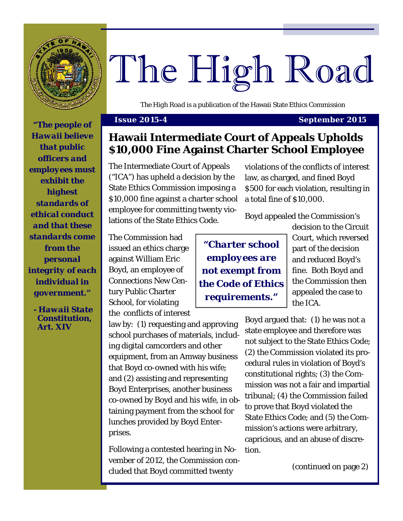

# The High Road

*The High Road* is a publication of the Hawaii State Ethics Commission

# **Issue 2015-4 September 2015** *"The people of*

*Hawaii believe that public officers and employees must exhibit the highest standards of ethical conduct and that these standards come from the personal integrity of each individual in government."* 

*- Hawaii State Constitution, Art. XIV* 

**Hawaii Intermediate Court of Appeals Upholds \$10,000 Fine Against Charter School Employee** 

The Intermediate Court of Appeals ("ICA") has upheld a decision by the State Ethics Commission imposing a \$10,000 fine against a charter school employee for committing twenty violations of the State Ethics Code.

violations of the conflicts of interest law, as charged, and fined Boyd \$500 for each violation, resulting in a total fine of \$10,000.

Boyd appealed the Commission's

The Commission had issued an ethics charge against William Eric Boyd, an employee of Connections New Century Public Charter School, for violating the conflicts of interest

law by: (1) requesting and approving school purchases of materials, including digital camcorders and other equipment, from an Amway business that Boyd co-owned with his wife; and (2) assisting and representing Boyd Enterprises, another business co-owned by Boyd and his wife, in obtaining payment from the school for lunches provided by Boyd Enterprises.

Following a contested hearing in November of 2012, the Commission concluded that Boyd committed twenty

*"Charter school employees are not exempt from the Code of Ethics requirements."* 

decision to the Circuit Court, which reversed part of the decision and reduced Boyd's fine. Both Boyd and the Commission then appealed the case to the ICA.

Boyd argued that: (1) he was not a state employee and therefore was not subject to the State Ethics Code; (2) the Commission violated its procedural rules in violation of Boyd's constitutional rights; (3) the Commission was not a fair and impartial tribunal; (4) the Commission failed to prove that Boyd violated the State Ethics Code; and (5) the Commission's actions were arbitrary, capricious, and an abuse of discretion.

(continued on page 2)